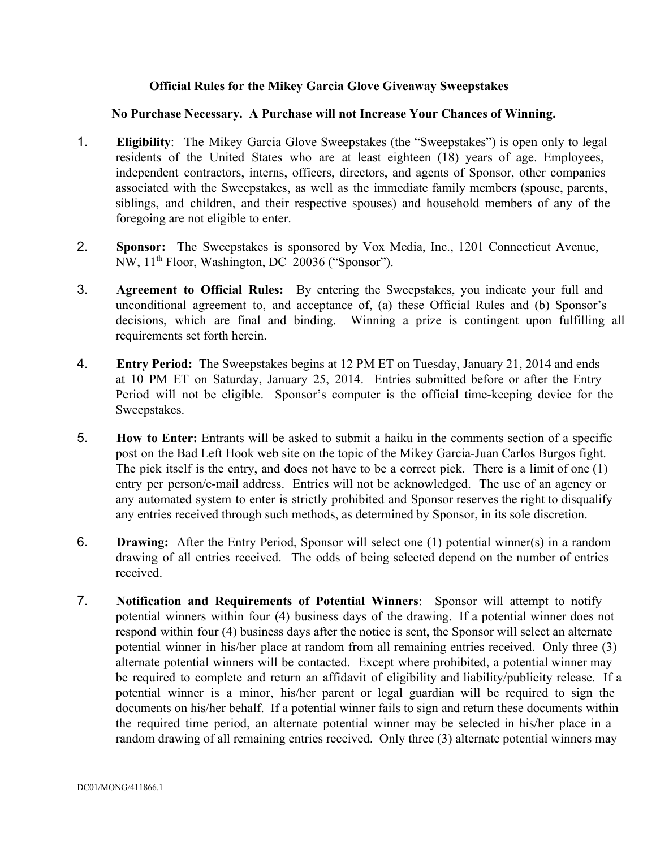## **Official Rules for the Mikey Garcia Glove Giveaway Sweepstakes**

## **No Purchase Necessary. A Purchase will not Increase Your Chances of Winning.**

- 1. **Eligibility**: The Mikey Garcia Glove Sweepstakes (the "Sweepstakes") is open only to legal residents of the United States who are at least eighteen (18) years of age. Employees, independent contractors, interns, officers, directors, and agents of Sponsor, other companies associated with the Sweepstakes, as well as the immediate family members (spouse, parents, siblings, and children, and their respective spouses) and household members of any of the foregoing are not eligible to enter.
- 2. **Sponsor:** The Sweepstakes is sponsored by Vox Media, Inc., 1201 Connecticut Avenue, NW, 11<sup>th</sup> Floor, Washington, DC 20036 ("Sponsor").
- 3. **Agreement to Official Rules:** By entering the Sweepstakes, you indicate your full and unconditional agreement to, and acceptance of, (a) these Official Rules and (b) Sponsor's decisions, which are final and binding. Winning a prize is contingent upon fulfilling all requirements set forth herein.
- 4. **Entry Period:** The Sweepstakes begins at 12 PM ET on Tuesday, January 21, 2014 and ends at 10 PM ET on Saturday, January 25, 2014. Entries submitted before or after the Entry Period will not be eligible. Sponsor's computer is the official timekeeping device for the Sweepstakes.
- 5. **How to Enter:** Entrants will be asked to submit a haiku in the comments section of a specific post on the Bad Left Hook web site on the topic of the Mikey Garcia-Juan Carlos Burgos fight. The pick itself is the entry, and does not have to be a correct pick. There is a limit of one (1) entry per person/email address. Entries will not be acknowledged. The use of an agency or any automated system to enter is strictly prohibited and Sponsor reserves the right to disqualify any entries received through such methods, as determined by Sponsor, in its sole discretion.
- 6. **Drawing:** After the Entry Period, Sponsor will select one (1) potential winner(s) in a random drawing of all entries received. The odds of being selected depend on the number of entries received.
- 7. **Notification and Requirements of Potential Winners**: Sponsor will attempt to notify potential winners within four (4) business days of the drawing. If a potential winner does not respond within four (4) business days after the notice is sent, the Sponsor will select an alternate potential winner in his/her place at random from all remaining entries received. Only three (3) alternate potential winners will be contacted. Except where prohibited, a potential winner may be required to complete and return an affidavit of eligibility and liability/publicity release. If a potential winner is a minor, his/her parent or legal guardian will be required to sign the documents on his/her behalf. If a potential winner fails to sign and return these documents within the required time period, an alternate potential winner may be selected in his/her place in a random drawing of all remaining entries received. Only three (3) alternate potential winners may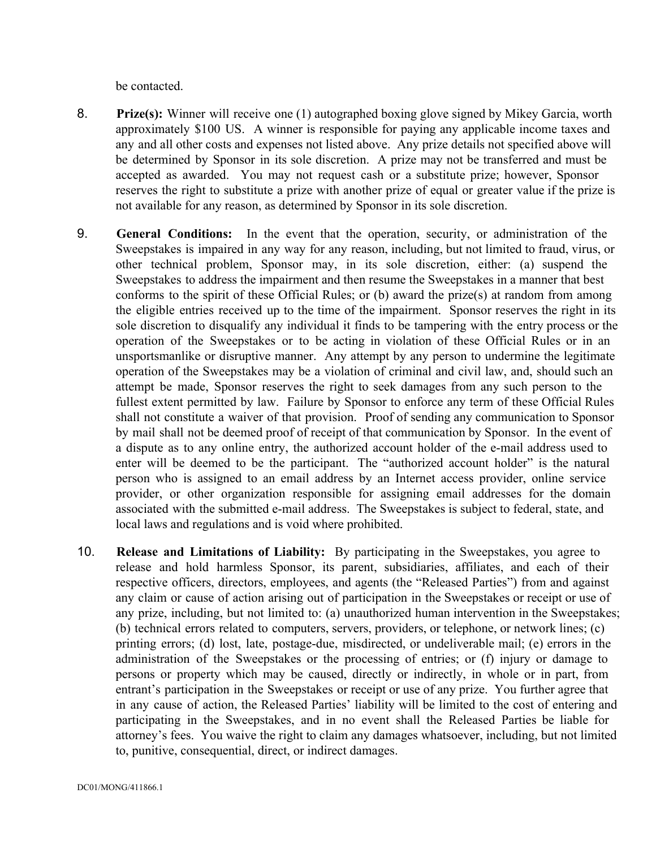be contacted.

- 8. **Prize(s):** Winner will receive one (1) autographed boxing glove signed by Mikey Garcia, worth approximately \$100 US. A winner is responsible for paying any applicable income taxes and any and all other costs and expenses not listed above. Any prize details not specified above will be determined by Sponsor in its sole discretion. A prize may not be transferred and must be accepted as awarded. You may not request cash or a substitute prize; however, Sponsor reserves the right to substitute a prize with another prize of equal or greater value if the prize is not available for any reason, as determined by Sponsor in its sole discretion.
- 9. **General Conditions:** In the event that the operation, security, or administration of the Sweepstakes is impaired in any way for any reason, including, but not limited to fraud, virus, or other technical problem, Sponsor may, in its sole discretion, either: (a) suspend the Sweepstakes to address the impairment and then resume the Sweepstakes in a manner that best conforms to the spirit of these Official Rules; or (b) award the prize(s) at random from among the eligible entries received up to the time of the impairment. Sponsor reserves the right in its sole discretion to disqualify any individual it finds to be tampering with the entry process or the operation of the Sweepstakes or to be acting in violation of these Official Rules or in an unsportsmanlike or disruptive manner. Any attempt by any person to undermine the legitimate operation of the Sweepstakes may be a violation of criminal and civil law, and, should such an attempt be made, Sponsor reserves the right to seek damages from any such person to the fullest extent permitted by law. Failure by Sponsor to enforce any term of these Official Rules shall not constitute a waiver of that provision. Proof of sending any communication to Sponsor by mail shall not be deemed proof of receipt of that communication by Sponsor. In the event of a dispute as to any online entry, the authorized account holder of the email address used to enter will be deemed to be the participant. The "authorized account holder" is the natural person who is assigned to an email address by an Internet access provider, online service provider, or other organization responsible for assigning email addresses for the domain associated with the submitted e-mail address. The Sweepstakes is subject to federal, state, and local laws and regulations and is void where prohibited.
- 10. **Release and Limitations of Liability:** By participating in the Sweepstakes, you agree to release and hold harmless Sponsor, its parent, subsidiaries, affiliates, and each of their respective officers, directors, employees, and agents (the "Released Parties") from and against any claim or cause of action arising out of participation in the Sweepstakes or receipt or use of any prize, including, but not limited to: (a) unauthorized human intervention in the Sweepstakes; (b) technical errors related to computers, servers, providers, or telephone, or network lines; (c) printing errors; (d) lost, late, postage-due, misdirected, or undeliverable mail; (e) errors in the administration of the Sweepstakes or the processing of entries; or (f) injury or damage to persons or property which may be caused, directly or indirectly, in whole or in part, from entrant's participation in the Sweepstakes or receipt or use of any prize. You further agree that in any cause of action, the Released Parties' liability will be limited to the cost of entering and participating in the Sweepstakes, and in no event shall the Released Parties be liable for attorney's fees. You waive the right to claim any damages whatsoever, including, but not limited to, punitive, consequential, direct, or indirect damages.